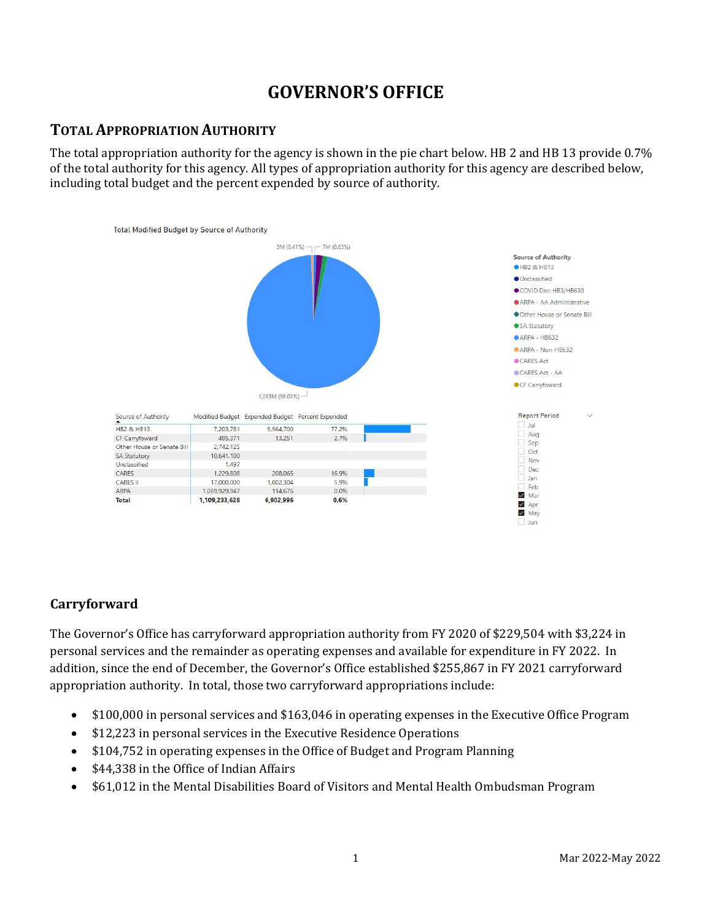# **GOVERNOR'S OFFICE**

# **TOTAL APPROPRIATION AUTHORITY**

The total appropriation authority for the agency is shown in the pie chart below. HB 2 and HB 13 provide 0.7% of the total authority for this agency. All types of appropriation authority for this agency are described below, including total budget and the percent expended by source of authority.



# **Carryforward**

The Governor's Office has carryforward appropriation authority from FY 2020 of \$229,504 with \$3,224 in personal services and the remainder as operating expenses and available for expenditure in FY 2022. In addition, since the end of December, the Governor's Office established \$255,867 in FY 2021 carryforward appropriation authority. In total, those two carryforward appropriations include:

- \$100,000 in personal services and \$163,046 in operating expenses in the Executive Office Program
- \$12,223 in personal services in the Executive Residence Operations
- \$104,752 in operating expenses in the Office of Budget and Program Planning
- \$44,338 in the Office of Indian Affairs
- \$61,012 in the Mental Disabilities Board of Visitors and Mental Health Ombudsman Program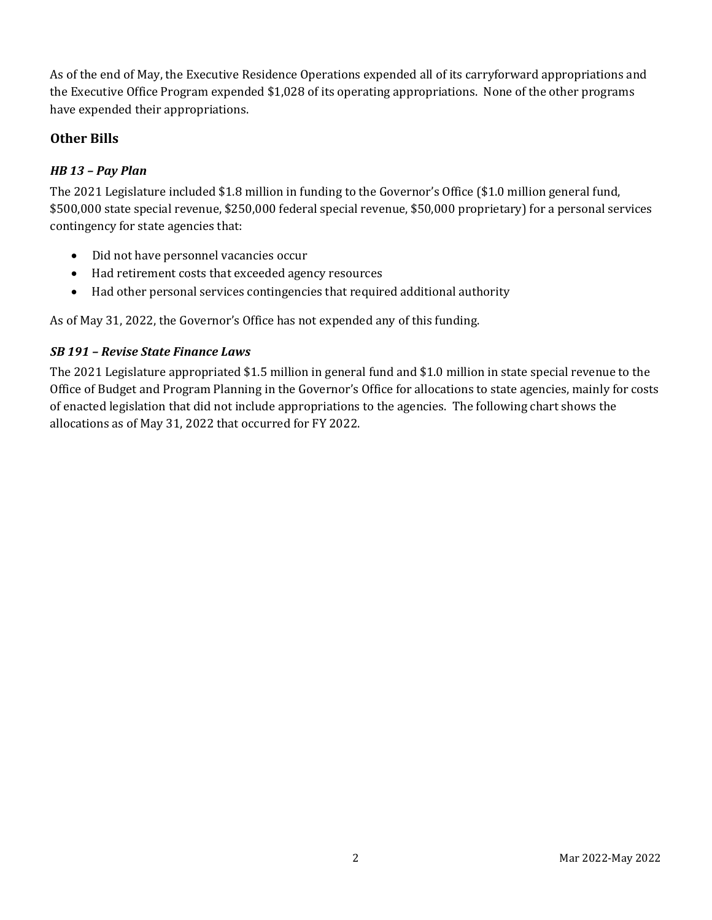As of the end of May, the Executive Residence Operations expended all of its carryforward appropriations and the Executive Office Program expended \$1,028 of its operating appropriations. None of the other programs have expended their appropriations.

# **Other Bills**

### *HB 13 – Pay Plan*

The 2021 Legislature included \$1.8 million in funding to the Governor's Office (\$1.0 million general fund, \$500,000 state special revenue, \$250,000 federal special revenue, \$50,000 proprietary) for a personal services contingency for state agencies that:

- Did not have personnel vacancies occur
- Had retirement costs that exceeded agency resources
- Had other personal services contingencies that required additional authority

As of May 31, 2022, the Governor's Office has not expended any of this funding.

#### *SB 191 – Revise State Finance Laws*

The 2021 Legislature appropriated \$1.5 million in general fund and \$1.0 million in state special revenue to the Office of Budget and Program Planning in the Governor's Office for allocations to state agencies, mainly for costs of enacted legislation that did not include appropriations to the agencies. The following chart shows the allocations as of May 31, 2022 that occurred for FY 2022.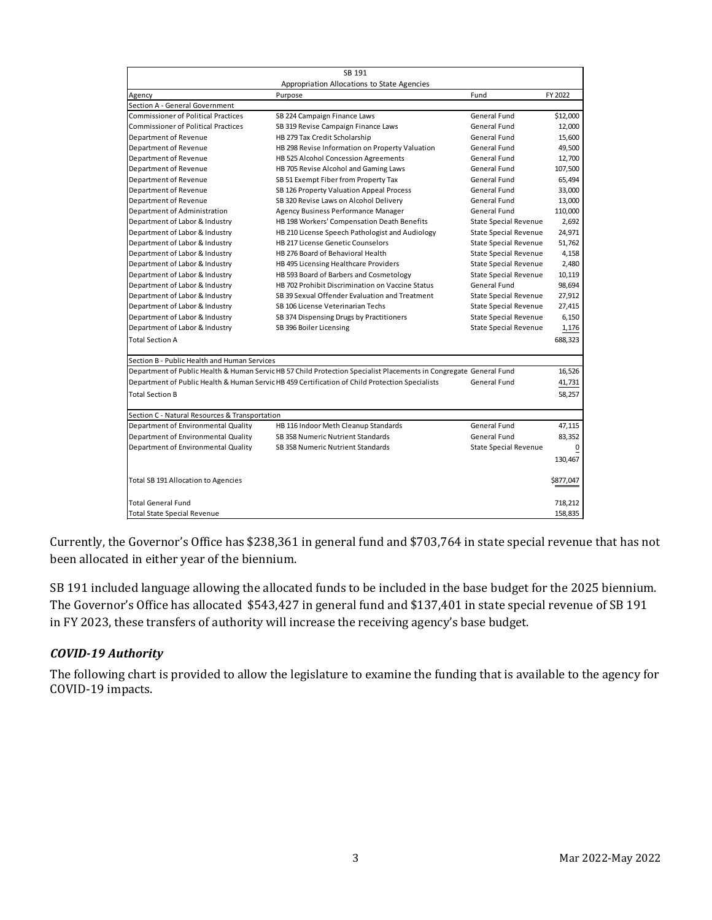|                                                | SB 191                                                                                                             |                              |           |
|------------------------------------------------|--------------------------------------------------------------------------------------------------------------------|------------------------------|-----------|
|                                                | Appropriation Allocations to State Agencies                                                                        |                              |           |
| Agency                                         | Purpose                                                                                                            | Fund                         | FY 2022   |
| Section A - General Government                 |                                                                                                                    |                              |           |
| <b>Commissioner of Political Practices</b>     | SB 224 Campaign Finance Laws                                                                                       | General Fund                 | \$12,000  |
| <b>Commissioner of Political Practices</b>     | SB 319 Revise Campaign Finance Laws                                                                                | General Fund                 | 12,000    |
| Department of Revenue                          | HB 279 Tax Credit Scholarship                                                                                      | General Fund                 | 15,600    |
| Department of Revenue                          | HB 298 Revise Information on Property Valuation                                                                    | General Fund                 | 49,500    |
| Department of Revenue                          | HB 525 Alcohol Concession Agreements                                                                               | General Fund                 | 12,700    |
| Department of Revenue                          | HB 705 Revise Alcohol and Gaming Laws                                                                              | General Fund                 | 107,500   |
| Department of Revenue                          | SB 51 Exempt Fiber from Property Tax                                                                               | General Fund                 | 65,494    |
| Department of Revenue                          | SB 126 Property Valuation Appeal Process                                                                           | General Fund                 | 33,000    |
| Department of Revenue                          | SB 320 Revise Laws on Alcohol Delivery                                                                             | General Fund                 | 13,000    |
| Department of Administration                   | Agency Business Performance Manager                                                                                | General Fund                 | 110,000   |
| Department of Labor & Industry                 | HB 198 Workers' Compensation Death Benefits                                                                        | <b>State Special Revenue</b> | 2,692     |
| Department of Labor & Industry                 | HB 210 License Speech Pathologist and Audiology                                                                    | <b>State Special Revenue</b> | 24,971    |
| Department of Labor & Industry                 | HB 217 License Genetic Counselors                                                                                  | <b>State Special Revenue</b> | 51,762    |
| Department of Labor & Industry                 | HB 276 Board of Behavioral Health                                                                                  | <b>State Special Revenue</b> | 4,158     |
| Department of Labor & Industry                 | HB 495 Licensing Healthcare Providers                                                                              | <b>State Special Revenue</b> | 2,480     |
| Department of Labor & Industry                 | HB 593 Board of Barbers and Cosmetology                                                                            | <b>State Special Revenue</b> | 10,119    |
| Department of Labor & Industry                 | HB 702 Prohibit Discrimination on Vaccine Status                                                                   | General Fund                 | 98,694    |
| Department of Labor & Industry                 | SB 39 Sexual Offender Evaluation and Treatment                                                                     | <b>State Special Revenue</b> | 27,912    |
| Department of Labor & Industry                 | SB 106 License Veterinarian Techs                                                                                  | <b>State Special Revenue</b> | 27,415    |
| Department of Labor & Industry                 | SB 374 Dispensing Drugs by Practitioners                                                                           | <b>State Special Revenue</b> | 6,150     |
| Department of Labor & Industry                 | SB 396 Boiler Licensing                                                                                            | <b>State Special Revenue</b> | 1,176     |
| <b>Total Section A</b>                         |                                                                                                                    |                              | 688,323   |
| Section B - Public Health and Human Services   |                                                                                                                    |                              |           |
|                                                | Department of Public Health & Human Servic HB 57 Child Protection Specialist Placements in Congregate General Fund |                              | 16,526    |
|                                                | Department of Public Health & Human Servic HB 459 Certification of Child Protection Specialists                    | General Fund                 | 41,731    |
| <b>Total Section B</b>                         |                                                                                                                    |                              |           |
|                                                |                                                                                                                    |                              | 58,257    |
| Section C - Natural Resources & Transportation |                                                                                                                    |                              |           |
| Department of Environmental Quality            | HB 116 Indoor Meth Cleanup Standards                                                                               | General Fund                 | 47,115    |
| Department of Environmental Quality            | SB 358 Numeric Nutrient Standards                                                                                  | General Fund                 | 83,352    |
| Department of Environmental Quality            | SB 358 Numeric Nutrient Standards                                                                                  | <b>State Special Revenue</b> | 0         |
|                                                |                                                                                                                    |                              | 130,467   |
| Total SB 191 Allocation to Agencies            |                                                                                                                    |                              | \$877,047 |
| <b>Total General Fund</b>                      |                                                                                                                    |                              | 718,212   |
| <b>Total State Special Revenue</b>             |                                                                                                                    |                              | 158,835   |

Currently, the Governor's Office has \$238,361 in general fund and \$703,764 in state special revenue that has not been allocated in either year of the biennium.

SB 191 included language allowing the allocated funds to be included in the base budget for the 2025 biennium. The Governor's Office has allocated \$543,427 in general fund and \$137,401 in state special revenue of SB 191 in FY 2023, these transfers of authority will increase the receiving agency's base budget.

#### *COVID-19 Authority*

The following chart is provided to allow the legislature to examine the funding that is available to the agency for COVID-19 impacts.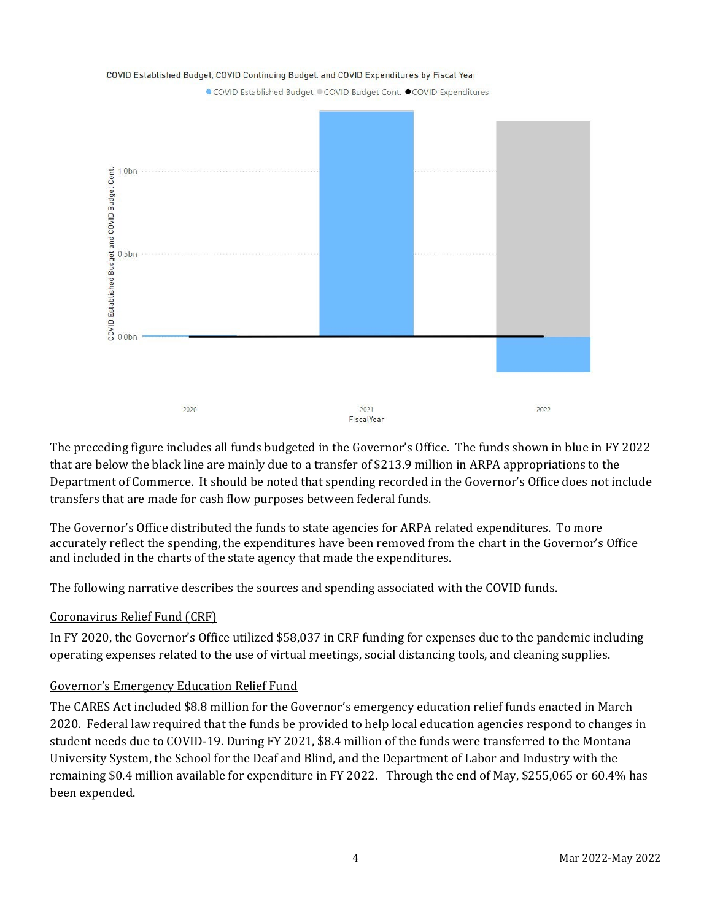

The preceding figure includes all funds budgeted in the Governor's Office. The funds shown in blue in FY 2022 that are below the black line are mainly due to a transfer of \$213.9 million in ARPA appropriations to the Department of Commerce. It should be noted that spending recorded in the Governor's Office does not include transfers that are made for cash flow purposes between federal funds.

The Governor's Office distributed the funds to state agencies for ARPA related expenditures. To more accurately reflect the spending, the expenditures have been removed from the chart in the Governor's Office and included in the charts of the state agency that made the expenditures.

The following narrative describes the sources and spending associated with the COVID funds.

# Coronavirus Relief Fund (CRF)

In FY 2020, the Governor's Office utilized \$58,037 in CRF funding for expenses due to the pandemic including operating expenses related to the use of virtual meetings, social distancing tools, and cleaning supplies.

#### Governor's Emergency Education Relief Fund

The CARES Act included \$8.8 million for the Governor's emergency education relief funds enacted in March 2020. Federal law required that the funds be provided to help local education agencies respond to changes in student needs due to COVID-19. During FY 2021, \$8.4 million of the funds were transferred to the Montana University System, the School for the Deaf and Blind, and the Department of Labor and Industry with the remaining \$0.4 million available for expenditure in FY 2022. Through the end of May, \$255,065 or 60.4% has been expended.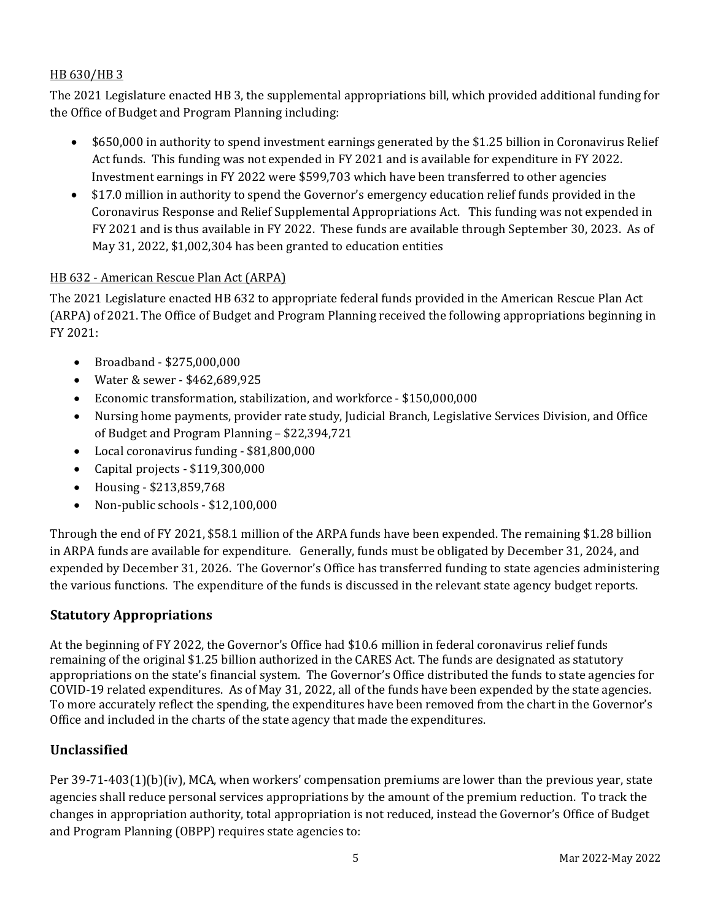### HB 630/HB 3

The 2021 Legislature enacted HB 3, the supplemental appropriations bill, which provided additional funding for the Office of Budget and Program Planning including:

- \$650,000 in authority to spend investment earnings generated by the \$1.25 billion in Coronavirus Relief Act funds. This funding was not expended in FY 2021 and is available for expenditure in FY 2022. Investment earnings in FY 2022 were \$599,703 which have been transferred to other agencies
- \$17.0 million in authority to spend the Governor's emergency education relief funds provided in the Coronavirus Response and Relief Supplemental Appropriations Act. This funding was not expended in FY 2021 and is thus available in FY 2022. These funds are available through September 30, 2023. As of May 31, 2022, \$1,002,304 has been granted to education entities

#### HB 632 - American Rescue Plan Act (ARPA)

The 2021 Legislature enacted HB 632 to appropriate federal funds provided in the American Rescue Plan Act (ARPA) of 2021. The Office of Budget and Program Planning received the following appropriations beginning in FY 2021:

- Broadband \$275,000,000
- Water & sewer \$462,689,925
- Economic transformation, stabilization, and workforce \$150,000,000
- Nursing home payments, provider rate study, Judicial Branch, Legislative Services Division, and Office of Budget and Program Planning – \$22,394,721
- Local coronavirus funding \$81,800,000
- Capital projects \$119,300,000
- Housing \$213,859,768
- Non-public schools \$12,100,000

Through the end of FY 2021, \$58.1 million of the ARPA funds have been expended. The remaining \$1.28 billion in ARPA funds are available for expenditure. Generally, funds must be obligated by December 31, 2024, and expended by December 31, 2026. The Governor's Office has transferred funding to state agencies administering the various functions. The expenditure of the funds is discussed in the relevant state agency budget reports.

#### **Statutory Appropriations**

At the beginning of FY 2022, the Governor's Office had \$10.6 million in federal coronavirus relief funds remaining of the original \$1.25 billion authorized in the CARES Act. The funds are designated as statutory appropriations on the state's financial system. The Governor's Office distributed the funds to state agencies for COVID-19 related expenditures. As of May 31, 2022, all of the funds have been expended by the state agencies. To more accurately reflect the spending, the expenditures have been removed from the chart in the Governor's Office and included in the charts of the state agency that made the expenditures.

#### **Unclassified**

Per 39-71-403(1)(b)(iv), MCA, when workers' compensation premiums are lower than the previous year, state agencies shall reduce personal services appropriations by the amount of the premium reduction. To track the changes in appropriation authority, total appropriation is not reduced, instead the Governor's Office of Budget and Program Planning (OBPP) requires state agencies to: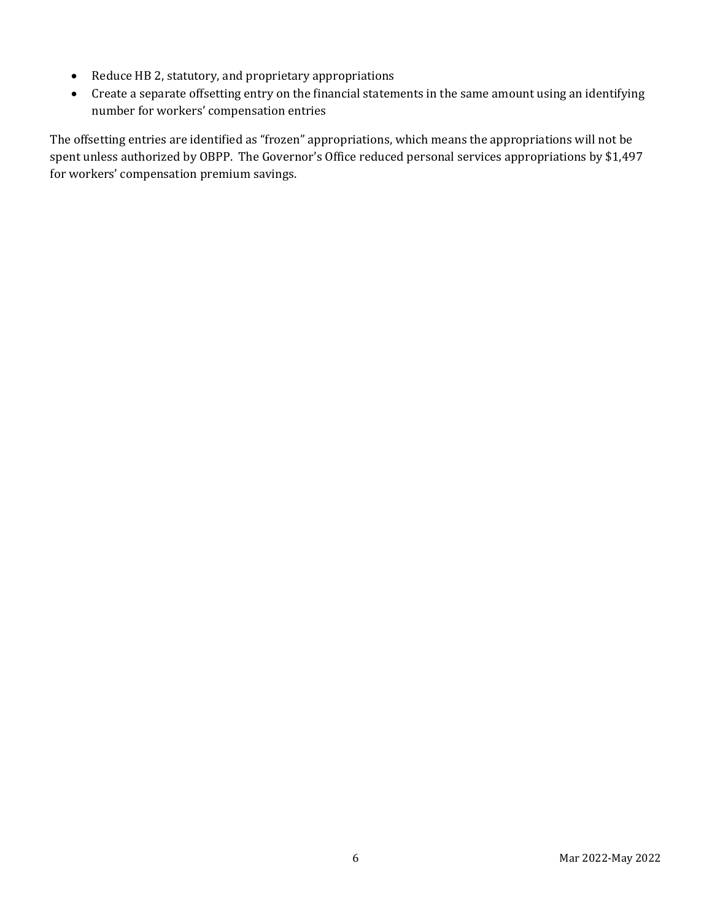- Reduce HB 2, statutory, and proprietary appropriations
- Create a separate offsetting entry on the financial statements in the same amount using an identifying number for workers' compensation entries

The offsetting entries are identified as "frozen" appropriations, which means the appropriations will not be spent unless authorized by OBPP. The Governor's Office reduced personal services appropriations by \$1,497 for workers' compensation premium savings.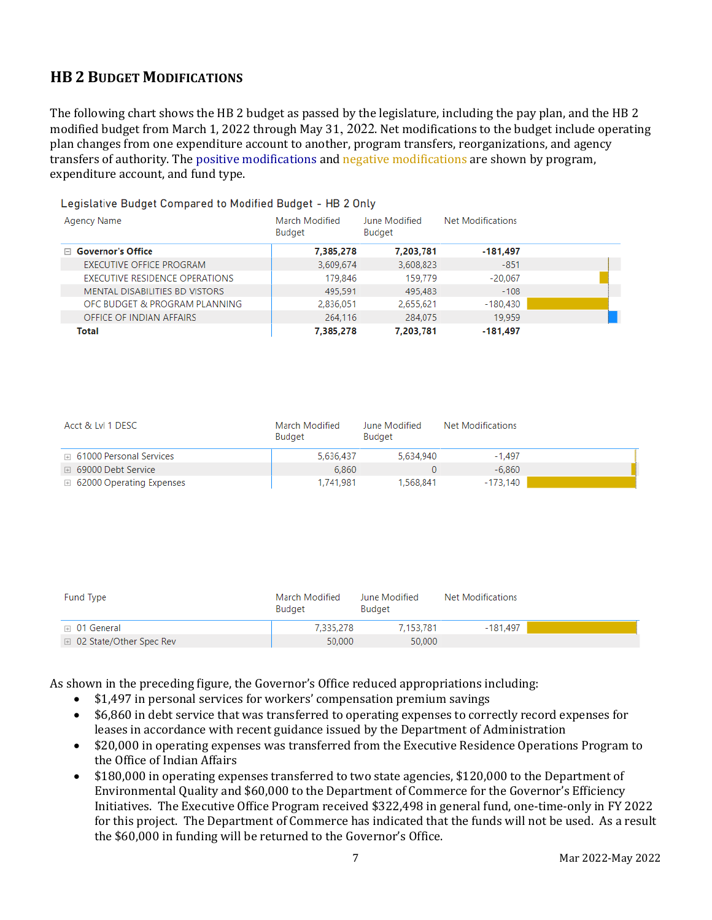# **HB 2 BUDGET MODIFICATIONS**

The following chart shows the HB 2 budget as passed by the legislature, including the pay plan, and the HB 2 modified budget from March 1, 2022 through May 31, 2022. Net modifications to the budget include operating plan changes from one expenditure account to another, program transfers, reorganizations, and agency transfers of authority. The positive modifications and negative modifications are shown by program, expenditure account, and fund type.

#### Legislative Budget Compared to Modified Budget - HB 2 Only

| Agency Name                           | March Modified<br><b>Budget</b> | June Modified<br><b>Budget</b> | Net Modifications |  |
|---------------------------------------|---------------------------------|--------------------------------|-------------------|--|
| $\Box$ Governor's Office              | 7,385,278                       | 7,203,781                      | $-181,497$        |  |
| EXECUTIVE OFFICE PROGRAM              | 3,609,674                       | 3,608,823                      | $-851$            |  |
| EXECUTIVE RESIDENCE OPERATIONS        | 179.846                         | 159,779                        | $-20.067$         |  |
| <b>MENTAL DISABILITIES BD VISTORS</b> | 495,591                         | 495,483                        | $-108$            |  |
| OFC BUDGET & PROGRAM PLANNING         | 2,836,051                       | 2,655,621                      | -180,430          |  |
| OFFICE OF INDIAN AFFAIRS              | 264,116                         | 284,075                        | 19,959            |  |
| Total                                 | 7,385,278                       | 7,203,781                      | $-181.497$        |  |

| Acct & LvI 1 DESC                   | March Modified<br><b>Budget</b> | June Modified<br><b>Budget</b> | Net Modifications |  |
|-------------------------------------|---------------------------------|--------------------------------|-------------------|--|
| $\boxplus$ 61000 Personal Services  | 5.636.437                       | 5.634.940                      | $-1.497$          |  |
| ⊞ 69000 Debt Service                | 6.860                           |                                | -6.860            |  |
| $\boxplus$ 62000 Operating Expenses | 1.741.981                       | 1.568.841                      | -173.140          |  |

| <b>Fund Type</b>                 | March Modified<br>Budget | June Modified<br>Budget | Net Modifications |  |
|----------------------------------|--------------------------|-------------------------|-------------------|--|
| $\boxplus$ 01 General            | 7,335,278                | 7.153.781               | $-181,497$        |  |
| <b>E</b> 02 State/Other Spec Rev | 50,000                   | 50,000                  |                   |  |

As shown in the preceding figure, the Governor's Office reduced appropriations including:

- \$1,497 in personal services for workers' compensation premium savings<br>• \$6,860 in debt service that was transferred to operating expenses to corre
- \$6,860 in debt service that was transferred to operating expenses to correctly record expenses for leases in accordance with recent guidance issued by the Department of Administration
- \$20,000 in operating expenses was transferred from the Executive Residence Operations Program to the Office of Indian Affairs
- \$180,000 in operating expenses transferred to two state agencies, \$120,000 to the Department of Environmental Quality and \$60,000 to the Department of Commerce for the Governor's Efficiency Initiatives. The Executive Office Program received \$322,498 in general fund, one-time-only in FY 2022 for this project. The Department of Commerce has indicated that the funds will not be used. As a result the \$60,000 in funding will be returned to the Governor's Office.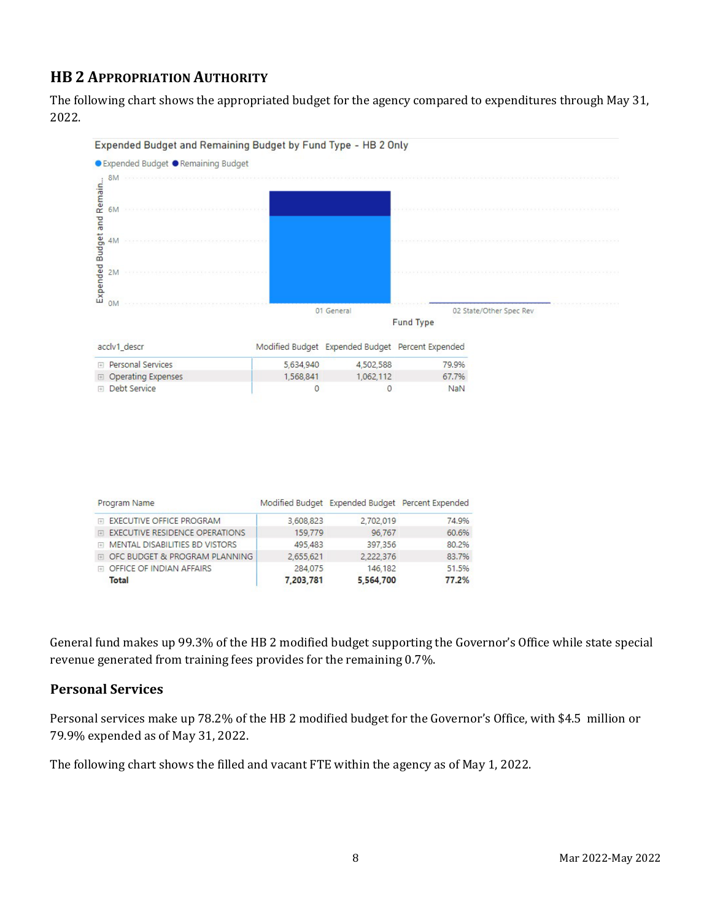# **HB 2 APPROPRIATION AUTHORITY**

The following chart shows the appropriated budget for the agency compared to expenditures through May 31, 2022.



General fund makes up 99.3% of the HB 2 modified budget supporting the Governor's Office while state special

5,564,700

77.2%

7,203,781

# **Personal Services**

**Total** 

Personal services make up 78.2% of the HB 2 modified budget for the Governor's Office, with \$4.5 million or 79.9% expended as of May 31, 2022.

The following chart shows the filled and vacant FTE within the agency as of May 1, 2022.

revenue generated from training fees provides for the remaining 0.7%.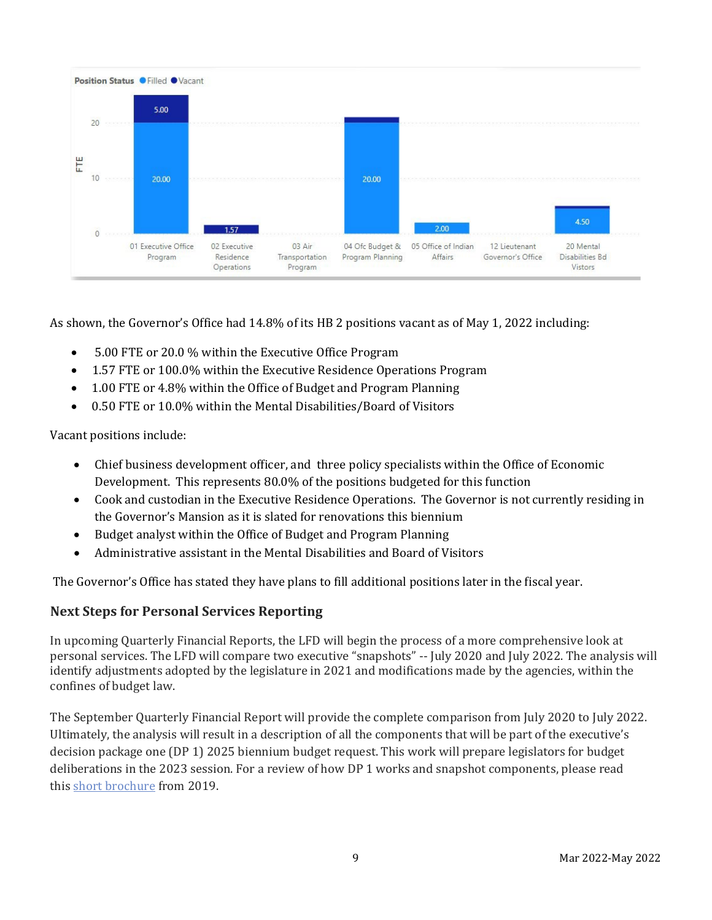

As shown, the Governor's Office had 14.8% of its HB 2 positions vacant as of May 1, 2022 including:

- 5.00 FTE or 20.0 % within the Executive Office Program
- 1.57 FTE or 100.0% within the Executive Residence Operations Program
- 1.00 FTE or 4.8% within the Office of Budget and Program Planning
- 0.50 FTE or 10.0% within the Mental Disabilities/Board of Visitors

Vacant positions include:

- Chief business development officer, and three policy specialists within the Office of Economic Development. This represents 80.0% of the positions budgeted for this function
- Cook and custodian in the Executive Residence Operations. The Governor is not currently residing in the Governor's Mansion as it is slated for renovations this biennium
- Budget analyst within the Office of Budget and Program Planning
- Administrative assistant in the Mental Disabilities and Board of Visitors

The Governor's Office has stated they have plans to fill additional positions later in the fiscal year.

# **Next Steps for Personal Services Reporting**

In upcoming Quarterly Financial Reports, the LFD will begin the process of a more comprehensive look at personal services. The LFD will compare two executive "snapshots" -- July 2020 and July 2022. The analysis will identify adjustments adopted by the legislature in 2021 and modifications made by the agencies, within the confines of budget law.

The September Quarterly Financial Report will provide the complete comparison from July 2020 to July 2022. Ultimately, the analysis will result in a description of all the components that will be part of the executive's decision package one (DP 1) 2025 biennium budget request. This work will prepare legislators for budget deliberations in the 2023 session. For a review of how DP 1 works and snapshot components, please read this [short brochure](https://montana.maps.arcgis.com/apps/Cascade/index.html?appid=23095fcf15754f4fb38b63c58a884b97) from 2019.